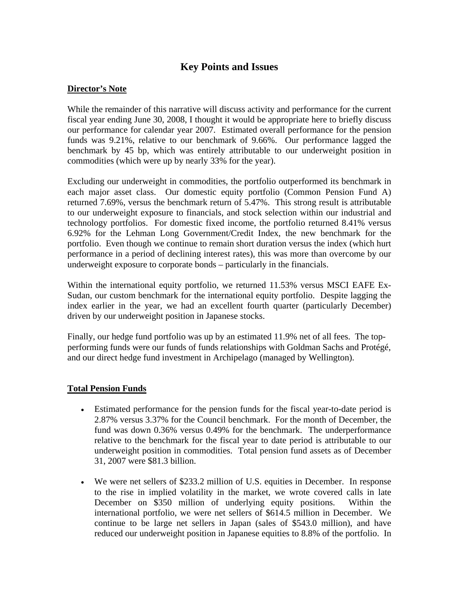# **Key Points and Issues**

## **Director's Note**

While the remainder of this narrative will discuss activity and performance for the current fiscal year ending June 30, 2008, I thought it would be appropriate here to briefly discuss our performance for calendar year 2007. Estimated overall performance for the pension funds was 9.21%, relative to our benchmark of 9.66%. Our performance lagged the benchmark by 45 bp, which was entirely attributable to our underweight position in commodities (which were up by nearly 33% for the year).

Excluding our underweight in commodities, the portfolio outperformed its benchmark in each major asset class. Our domestic equity portfolio (Common Pension Fund A) returned 7.69%, versus the benchmark return of 5.47%. This strong result is attributable to our underweight exposure to financials, and stock selection within our industrial and technology portfolios. For domestic fixed income, the portfolio returned 8.41% versus 6.92% for the Lehman Long Government/Credit Index, the new benchmark for the portfolio. Even though we continue to remain short duration versus the index (which hurt performance in a period of declining interest rates), this was more than overcome by our underweight exposure to corporate bonds – particularly in the financials.

Within the international equity portfolio, we returned 11.53% versus MSCI EAFE Ex-Sudan, our custom benchmark for the international equity portfolio. Despite lagging the index earlier in the year, we had an excellent fourth quarter (particularly December) driven by our underweight position in Japanese stocks.

Finally, our hedge fund portfolio was up by an estimated 11.9% net of all fees. The topperforming funds were our funds of funds relationships with Goldman Sachs and Protégé, and our direct hedge fund investment in Archipelago (managed by Wellington).

#### **Total Pension Funds**

- Estimated performance for the pension funds for the fiscal year-to-date period is 2.87% versus 3.37% for the Council benchmark. For the month of December, the fund was down 0.36% versus 0.49% for the benchmark. The underperformance relative to the benchmark for the fiscal year to date period is attributable to our underweight position in commodities. Total pension fund assets as of December 31, 2007 were \$81.3 billion.
- We were net sellers of \$233.2 million of U.S. equities in December. In response to the rise in implied volatility in the market, we wrote covered calls in late December on \$350 million of underlying equity positions. Within the international portfolio, we were net sellers of \$614.5 million in December. We continue to be large net sellers in Japan (sales of \$543.0 million), and have reduced our underweight position in Japanese equities to 8.8% of the portfolio. In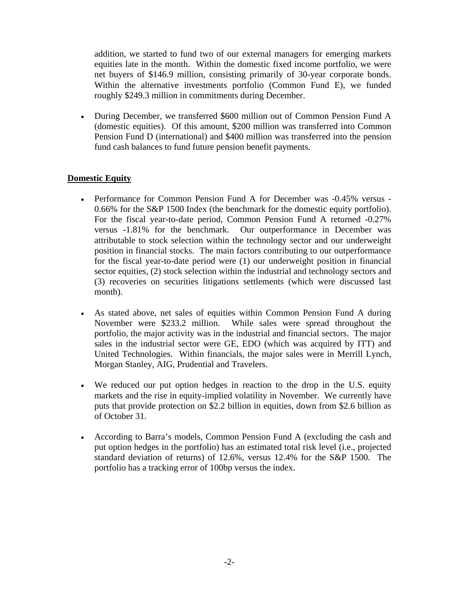addition, we started to fund two of our external managers for emerging markets equities late in the month. Within the domestic fixed income portfolio, we were net buyers of \$146.9 million, consisting primarily of 30-year corporate bonds. Within the alternative investments portfolio (Common Fund E), we funded roughly \$249.3 million in commitments during December.

• During December, we transferred \$600 million out of Common Pension Fund A (domestic equities). Of this amount, \$200 million was transferred into Common Pension Fund D (international) and \$400 million was transferred into the pension fund cash balances to fund future pension benefit payments.

# **Domestic Equity**

- Performance for Common Pension Fund A for December was -0.45% versus 0.66% for the S&P 1500 Index (the benchmark for the domestic equity portfolio). For the fiscal year-to-date period, Common Pension Fund A returned -0.27% versus -1.81% for the benchmark. Our outperformance in December was attributable to stock selection within the technology sector and our underweight position in financial stocks. The main factors contributing to our outperformance for the fiscal year-to-date period were (1) our underweight position in financial sector equities, (2) stock selection within the industrial and technology sectors and (3) recoveries on securities litigations settlements (which were discussed last month).
- As stated above, net sales of equities within Common Pension Fund A during November were \$233.2 million. While sales were spread throughout the portfolio, the major activity was in the industrial and financial sectors. The major sales in the industrial sector were GE, EDO (which was acquired by ITT) and United Technologies. Within financials, the major sales were in Merrill Lynch, Morgan Stanley, AIG, Prudential and Travelers.
- We reduced our put option hedges in reaction to the drop in the U.S. equity markets and the rise in equity-implied volatility in November. We currently have puts that provide protection on \$2.2 billion in equities, down from \$2.6 billion as of October 31.
- According to Barra's models, Common Pension Fund A (excluding the cash and put option hedges in the portfolio) has an estimated total risk level (i.e., projected standard deviation of returns) of 12.6%, versus 12.4% for the S&P 1500. The portfolio has a tracking error of 100bp versus the index.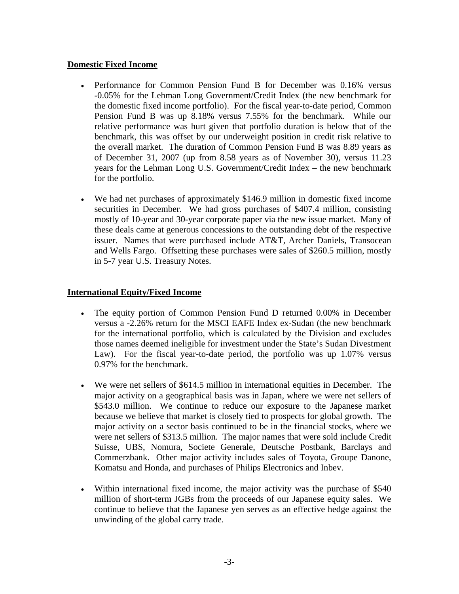#### **Domestic Fixed Income**

- Performance for Common Pension Fund B for December was 0.16% versus -0.05% for the Lehman Long Government/Credit Index (the new benchmark for the domestic fixed income portfolio). For the fiscal year-to-date period, Common Pension Fund B was up 8.18% versus 7.55% for the benchmark. While our relative performance was hurt given that portfolio duration is below that of the benchmark, this was offset by our underweight position in credit risk relative to the overall market. The duration of Common Pension Fund B was 8.89 years as of December 31, 2007 (up from 8.58 years as of November 30), versus 11.23 years for the Lehman Long U.S. Government/Credit Index – the new benchmark for the portfolio.
- We had net purchases of approximately \$146.9 million in domestic fixed income securities in December. We had gross purchases of \$407.4 million, consisting mostly of 10-year and 30-year corporate paper via the new issue market. Many of these deals came at generous concessions to the outstanding debt of the respective issuer. Names that were purchased include AT&T, Archer Daniels, Transocean and Wells Fargo. Offsetting these purchases were sales of \$260.5 million, mostly in 5-7 year U.S. Treasury Notes.

#### **International Equity/Fixed Income**

- The equity portion of Common Pension Fund D returned 0.00% in December versus a -2.26% return for the MSCI EAFE Index ex-Sudan (the new benchmark for the international portfolio, which is calculated by the Division and excludes those names deemed ineligible for investment under the State's Sudan Divestment Law). For the fiscal year-to-date period, the portfolio was up 1.07% versus 0.97% for the benchmark.
- We were net sellers of \$614.5 million in international equities in December. The major activity on a geographical basis was in Japan, where we were net sellers of \$543.0 million. We continue to reduce our exposure to the Japanese market because we believe that market is closely tied to prospects for global growth. The major activity on a sector basis continued to be in the financial stocks, where we were net sellers of \$313.5 million. The major names that were sold include Credit Suisse, UBS, Nomura, Societe Generale, Deutsche Postbank, Barclays and Commerzbank. Other major activity includes sales of Toyota, Groupe Danone, Komatsu and Honda, and purchases of Philips Electronics and Inbev.
- Within international fixed income, the major activity was the purchase of \$540 million of short-term JGBs from the proceeds of our Japanese equity sales. We continue to believe that the Japanese yen serves as an effective hedge against the unwinding of the global carry trade.